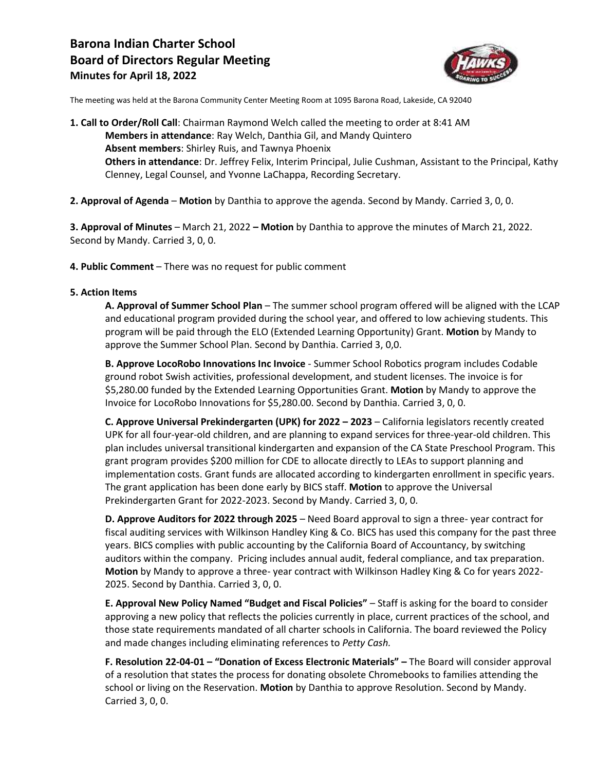# **Barona Indian Charter School Board of Directors Regular Meeting Minutes for April 18, 2022**



The meeting was held at the Barona Community Center Meeting Room at 1095 Barona Road, Lakeside, CA 92040

- **1. Call to Order/Roll Call**: Chairman Raymond Welch called the meeting to order at 8:41 AM **Members in attendance**: Ray Welch, Danthia Gil, and Mandy Quintero **Absent members**: Shirley Ruis, and Tawnya Phoenix **Others in attendance**: Dr. Jeffrey Felix, Interim Principal, Julie Cushman, Assistant to the Principal, Kathy Clenney, Legal Counsel, and Yvonne LaChappa, Recording Secretary.
- **2. Approval of Agenda Motion** by Danthia to approve the agenda. Second by Mandy. Carried 3, 0, 0.

**3. Approval of Minutes** – March 21, 2022 **– Motion** by Danthia to approve the minutes of March 21, 2022. Second by Mandy. Carried 3, 0, 0.

**4. Public Comment** – There was no request for public comment

# **5. Action Items**

**A. Approval of Summer School Plan** – The summer school program offered will be aligned with the LCAP and educational program provided during the school year, and offered to low achieving students. This program will be paid through the ELO (Extended Learning Opportunity) Grant. **Motion** by Mandy to approve the Summer School Plan. Second by Danthia. Carried 3, 0,0.

**B. Approve LocoRobo Innovations Inc Invoice** - Summer School Robotics program includes Codable ground robot Swish activities, professional development, and student licenses. The invoice is for \$5,280.00 funded by the Extended Learning Opportunities Grant. **Motion** by Mandy to approve the Invoice for LocoRobo Innovations for \$5,280.00. Second by Danthia. Carried 3, 0, 0.

**C. Approve Universal Prekindergarten (UPK) for 2022 – 2023** – California legislators recently created UPK for all four-year-old children, and are planning to expand services for three-year-old children. This plan includes universal transitional kindergarten and expansion of the CA State Preschool Program. This grant program provides \$200 million for CDE to allocate directly to LEAs to support planning and implementation costs. Grant funds are allocated according to kindergarten enrollment in specific years. The grant application has been done early by BICS staff. **Motion** to approve the Universal Prekindergarten Grant for 2022-2023. Second by Mandy. Carried 3, 0, 0.

**D. Approve Auditors for 2022 through 2025** – Need Board approval to sign a three- year contract for fiscal auditing services with Wilkinson Handley King & Co. BICS has used this company for the past three years. BICS complies with public accounting by the California Board of Accountancy, by switching auditors within the company. Pricing includes annual audit, federal compliance, and tax preparation. **Motion** by Mandy to approve a three- year contract with Wilkinson Hadley King & Co for years 2022- 2025. Second by Danthia. Carried 3, 0, 0.

**E. Approval New Policy Named "Budget and Fiscal Policies"** – Staff is asking for the board to consider approving a new policy that reflects the policies currently in place, current practices of the school, and those state requirements mandated of all charter schools in California. The board reviewed the Policy and made changes including eliminating references to *Petty Cash.*

**F. Resolution 22-04-01 – "Donation of Excess Electronic Materials" –** The Board will consider approval of a resolution that states the process for donating obsolete Chromebooks to families attending the school or living on the Reservation. **Motion** by Danthia to approve Resolution. Second by Mandy. Carried 3, 0, 0.